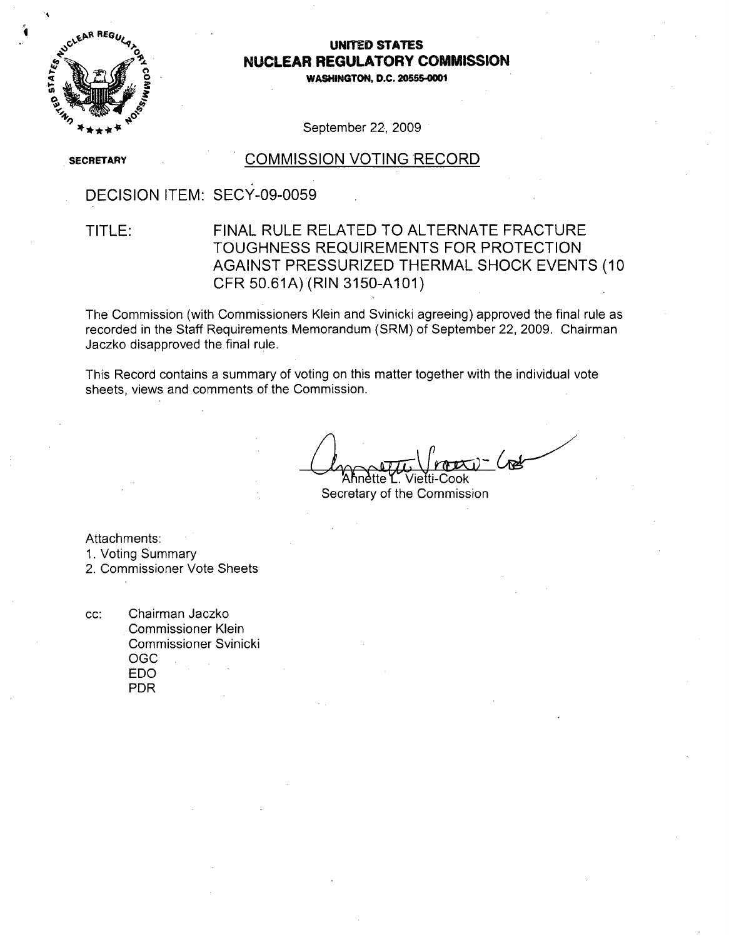

### **UNITED STATES NUCLEAR** REGULATORY **COMMISSION**

**0WASHINGTON, D.C. 2055-000**

September 22, 2009

**SECRETARY** 

#### **COMMISSION VOTING RECORD**

## DECISION ITEM: SECY-09-0059

### TITLE: FINAL RULE RELATED TO ALTERNATE FRACTURE TOUGHNESS REQUIREMENTS FOR PROTECTION AGAINST PRESSURIZED THERMAL SHOCK EVENTS (10 CFR 50.61A) (RIN 3150-A101)

The Commission (with Commissioners Klein and Svinicki agreeing) approved the final rule as recorded in the Staff Requirements Memorandum (SRM) of September 22, 2009. Chairman Jaczko disapproved the final rule.

This Record contains a summary of voting on this matter together with the individual vote sheets, views and comments of the Commission.

Ahnètte L. Vietti-Cook

Secretary of the Commission

Attachments:

1. Voting Summary

2. Commissioner Vote Sheets

cc: Chairman Jaczko Commissioner Klein Commissioner Svinicki OGC EDO PDR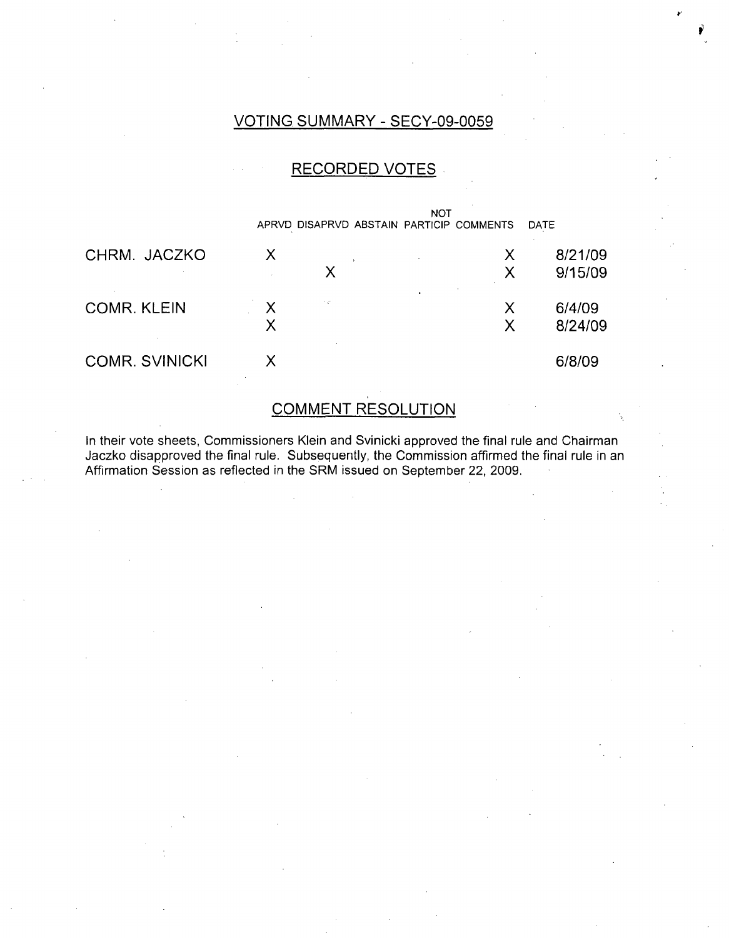### VOTING SUMMARY - SECY-09-0059

### RECORDED VOTES



### COMMENT RESOLUTION

In their vote sheets, Commissioners Klein and Svinicki approved the final rule and Chairman Jaczko disapproved the final rule. Subsequently, the Commission affirmed the final rule in an Affirmation Session as reflected in the SRM issued on September 22, 2009.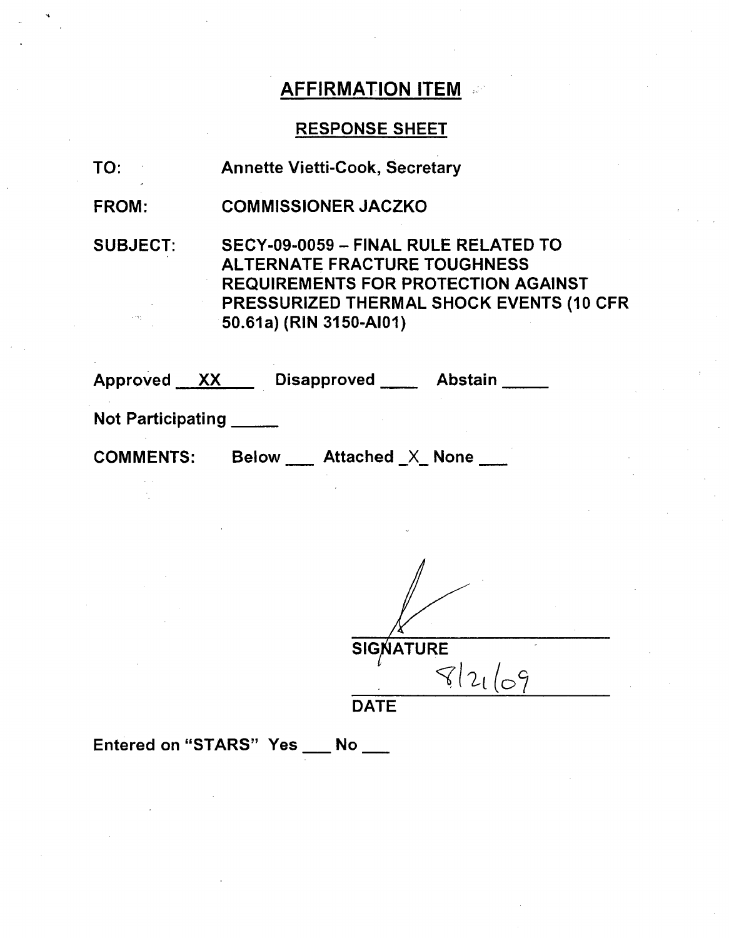# AFFIRMATION ITEM **.**

# RESPONSE SHEET

| TO:             | <b>Annette Vietti-Cook, Secretary</b>                                                                                                                                                            |
|-----------------|--------------------------------------------------------------------------------------------------------------------------------------------------------------------------------------------------|
| <b>FROM:</b>    | <b>COMMISSIONER JACZKO</b>                                                                                                                                                                       |
| <b>SUBJECT:</b> | SECY-09-0059 - FINAL RULE RELATED TO<br><b>ALTERNATE FRACTURE TOUGHNESS</b><br><b>REQUIREMENTS FOR PROTECTION AGAINST</b><br>PRESSURIZED THERMAL SHOCK EVENTS (10 CFR<br>50.61a) (RIN 3150-AI01) |

| Approved<br>XX           |              | <b>Disapproved</b>     | <b>Abstain</b> |
|--------------------------|--------------|------------------------|----------------|
| <b>Not Participating</b> |              |                        |                |
| <b>COMMENTS:</b>         | <b>Below</b> | <b>Attached X None</b> |                |

 $\sqrt{}$  121

DATE

Entered on "STARS" Yes \_\_ No \_\_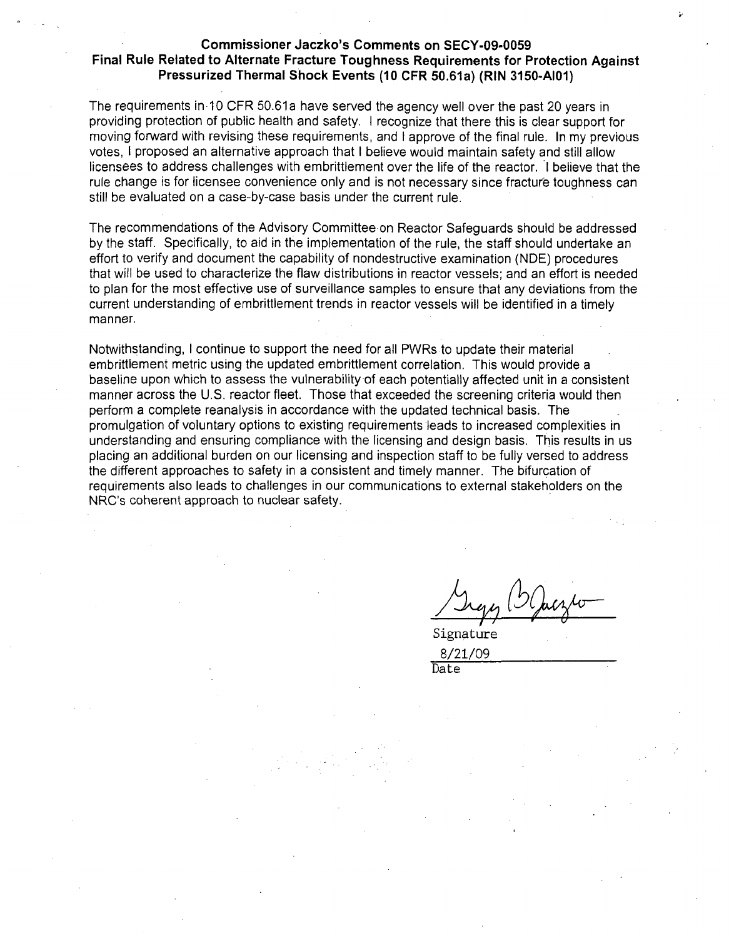#### Commissioner Jaczko's Comments on **SECY-09-0059** Final Rule Related to Alternate Fracture Toughness Requirements for Protection Against Pressurized Thermal Shock Events **(10** CFR 50.61a) (RIN **3150-AI01)**

The requirements in 10 CFR 50.61a have served the agency well over the past 20 years in providing protection of public health and safety. I recognize that there this is clear support for moving forward with revising these requirements, and I approve of the final rule. In my previous votes, I proposed an alternative approach that I believe would maintain safety and still allow licensees to address challenges with embrittlement over the life of the reactor. **I** believe that the rule change is for licensee convenience only and is not necessary since fracture toughness can still be evaluated on a case-by-case basis under the current rule.

The recommendations of the Advisory Committee on Reactor Safeguards should be addressed by the staff. Specifically, to aid in the implementation of the rule, the staff should undertake an effort to verify and document the capability of nondestructive examination (NDE) procedures that will be used to characterize the flaw distributions in reactor vessels; and an effort is needed to plan for the most effective use of surveillance samples to ensure that any deviations from the current understanding of embrittlement trends in reactor vessels will be identified in a timely manner.

Notwithstanding, I continue to support the need for all PWRs to update their material embrittlement metric using the updated embrittlement correlation. This would provide a baseline upon which to assess the vulnerability of each potentially affected unit in a consistent manner across the U.S. reactor fleet. Those that exceeded the screening criteria would then perform a complete reanalysis in accordance with the updated technical basis. The promulgation of voluntary options to existing requirements leads to increased complexities in understanding and ensuring compliance with the licensing and design basis. This results in us placing an additional burden on our licensing and inspection staff to be fully versed to address the different approaches to safety in a consistent and timely manner. The bifurcation of requirements also leads to challenges in our communications to external stakeholders on the NRC's coherent approach to nuclear safety.

Signature 8/21/09 Date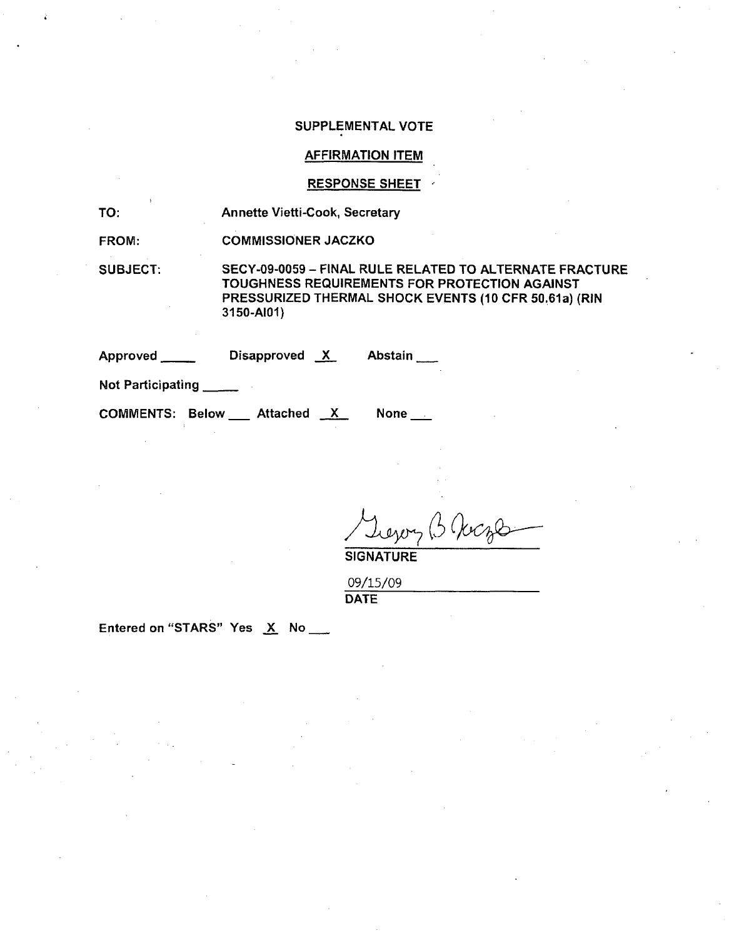#### SUPPLEMENTAL VOTE

#### AFFIRMATION ITEM

#### RESPONSE SHEET

TO: Annette Vietti-Cook, Secretary

FROM: COMMISSIONER JACZKO

SUBJECT:

SECY-09-0059 - FINAL RULE RELATED TO ALTERNATE FRACTURE TOUGHNESS REQUIREMENTS FOR PROTECTION AGAINST PRESSURIZED THERMAL SHOCK EVENTS (10 CFR 50.61a) (RIN 3150-AI01)

Approved Disapproved X Abstain

Not Participating **\_**

COMMENTS: Below \_\_ Attached X

None

Levery B Vocal **SIGNATURE** 

09/15/09 DATE

Entered on "STARS" Yes  $X$  No  $\_\_\_\$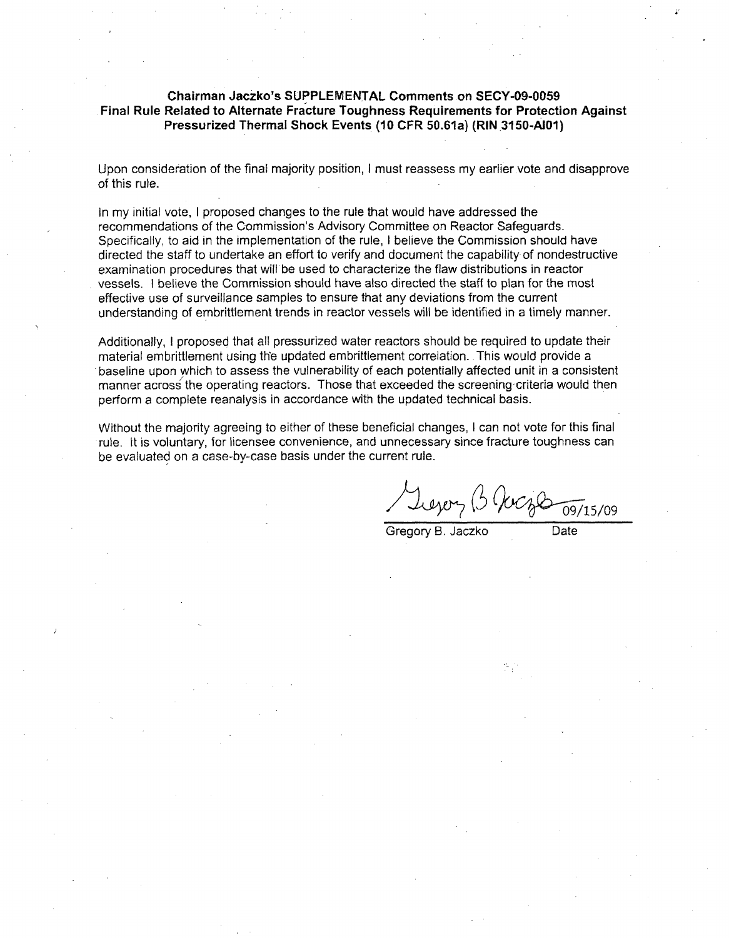#### Chairman Jaczko's **SUPPLEMENTAL** Comments on **SECY-09-0059** Final Rule Related to Alternate Fracture Toughness Requirements for Protection Against Pressurized Thermal Shock Events **(10** CFR 50.61a) (RIN 3150-AIoI)

Upon consideration of the final majority position, I must reassess my earlier vote and disapprove of this rule.

In my initial vote, I proposed changes to the rule that would have addressed the recommendations of the Commission's Advisory Committee on Reactor Safeguards. Specifically, to aid in the implementation of the rule, I believe the Commission should have directed the staff to undertake an effort to verify and document the capability of nondestructive examination procedures that will be used to characterize the flaw distributions in reactor vessels. **I** believe the Commission should have also directed the staff to plan for the most effective use of surveillance samples to ensure that any deviations from the current understanding of embrittlement trends in reactor vessels will be identified in a timely manner.

Additionally, I proposed that all pressurized water reactors should be required to update their material embrittlement using the updated embrittlement correlation. This would provide a baseline upon which to assess the vulnerability of each potentially affected unit in a consistent manner across the operating reactors. Those that exceeded the screening criteria would then perform a complete reanalysis in accordance with the updated technical basis.

Without the majority agreeing to either of these beneficial changes, I can not vote for this final rule. It is voluntary, for licensee convenience, and unnecessary since fracture toughness can be evaluated on a case-by-case basis under the current rule.

Y Leyery (3 (Jeogle 09/15/09)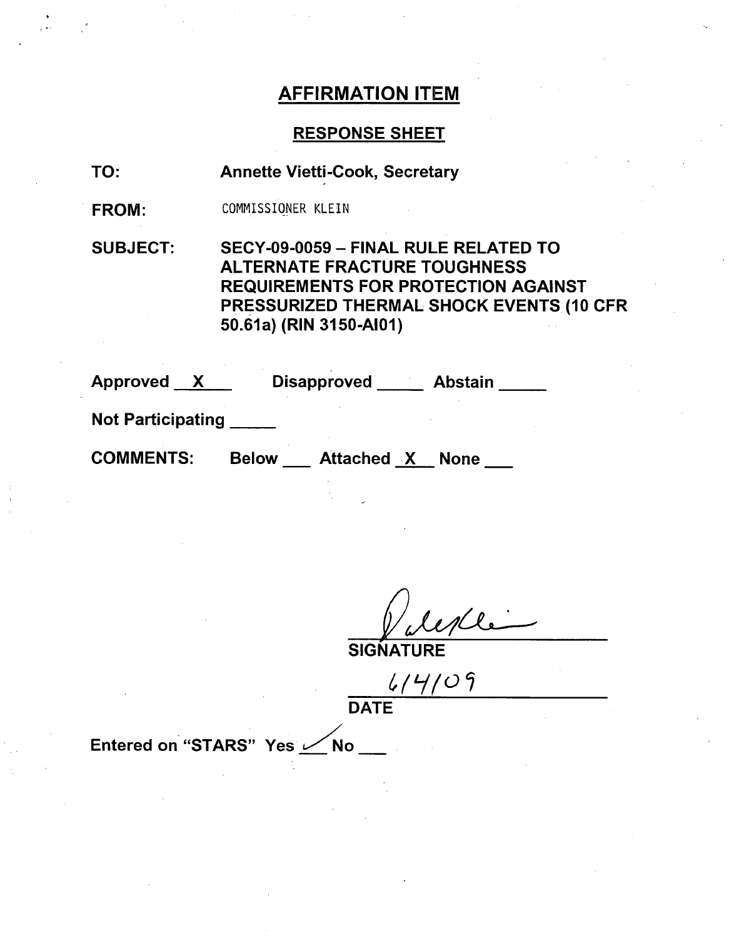# AFFIRMATION ITEM

### RESPONSE SHEET

- TO: Annette Vietti-Cook, Secretary
- FROM: COMMISSIONER KLEIN

SUBJECT: SECY-09-0059 - FINAL RULE RELATED TO ALTERNATE FRACTURE TOUGHNESS REQUIREMENTS FOR PROTECTION AGAINST PRESSURIZED THERMAL SHOCK EVENTS (10 CFR 50.61a) (RIN 3150-AI01)

| <b>Approved</b> |  | <b>Disapproved</b> | <b>Abstain</b> |
|-----------------|--|--------------------|----------------|
|-----------------|--|--------------------|----------------|

Not Participating **\_**

 $\bullet$ 

COMMENTS: Below Attached X None

SIGNATU

 $414/09$ **DATE** 

Entered on "STARS" Yes  $\swarrow$  No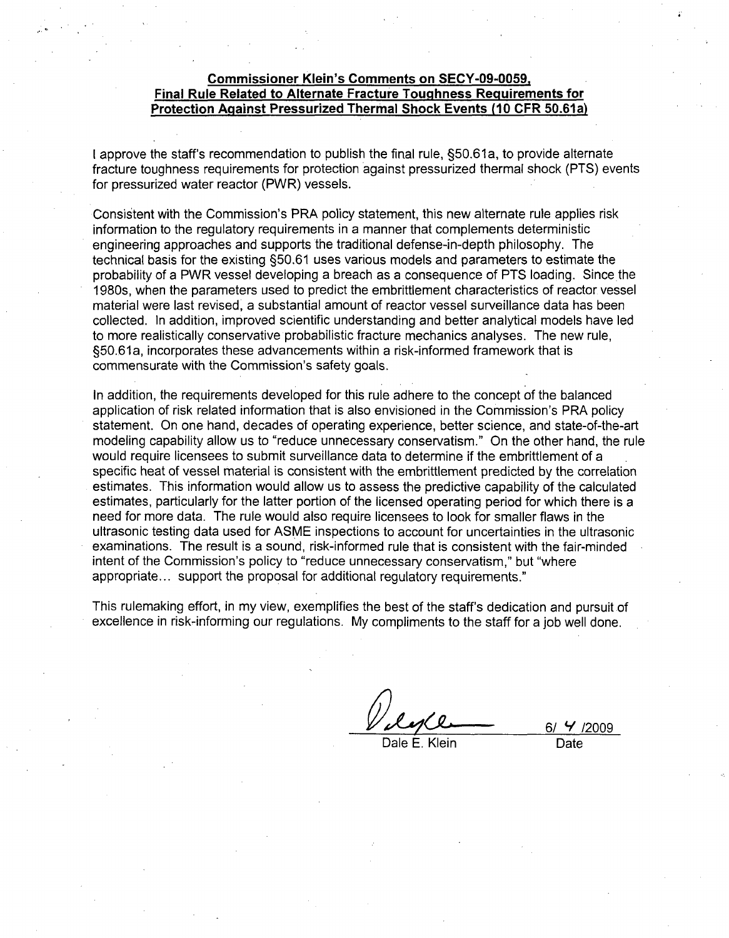#### Commissioner Klein's Comments on **SECY-09-0059,** Final Rule Related to Alternate Fracture Toughness Requirements for Protection Against Pressurized Thermal Shock Events **(10** CFR 50.61 a)

I approve the staff's recommendation to publish the final rule, §50.61a, to provide alternate fracture toughness requirements for protection against pressurized thermal shock (PTS) events for pressurized water reactor (PWR) vessels.

Consistent with the Commission's PRA policy statement, this new alternate rule applies risk information to the regulatory requirements in a manner that complements deterministic engineering approaches and supports the traditional defense-in-depth philosophy. The technical basis for the existing §50.61 uses various models and parameters to estimate the probability of a PWR vessel developing a breach as a consequence of PTS loading. Since the 1980s, when the parameters used to predict the embrittlement characteristics of reactor vessel material were last revised, a substantial amount of reactor vessel surveillance data has been collected. In addition, improved scientific understanding and better analytical models have led to more realistically conservative probabilistic fracture mechanics analyses. The new rule, §50.61a, incorporates these advancements within a risk-informed framework that is commensurate with the Commission's safety goals.

In addition, the requirements developed for this rule adhere to the concept of the balanced application of risk related information that is also envisioned in the Commission's PRA policy statement. On one hand, decades of operating experience, better science, and state-of-the-art modeling capability allow us to "reduce unnecessary conservatism." On the other hand, the rule would require licensees to submit surveillance data to determine if the embrittlement of a specific heat of vessel material is consistent with the embrittlement predicted by the correlation estimates. This information would allow us to assess the predictive capability of the calculated estimates, particularly for the latter portion of the licensed operating period for which there is a need for more data. The rule would also require licensees to look for smaller flaws in the ultrasonic testing data used for ASME inspections to account for uncertainties in the ultrasonic examinations. The result is a sound, risk-informed rule that is consistent with the fair-minded intent of the Commission's policy to "reduce unnecessary conservatism," but "where appropriate.., support the proposal for additional regulatory requirements."

This rulemaking effort, in my view, exemplifies the best of the staff's dedication and pursuit of excellence in risk-informing our regulations. My compliments to the staff for a job well done.

Dale E. Klein **Date** 

**6/** Y **/2009**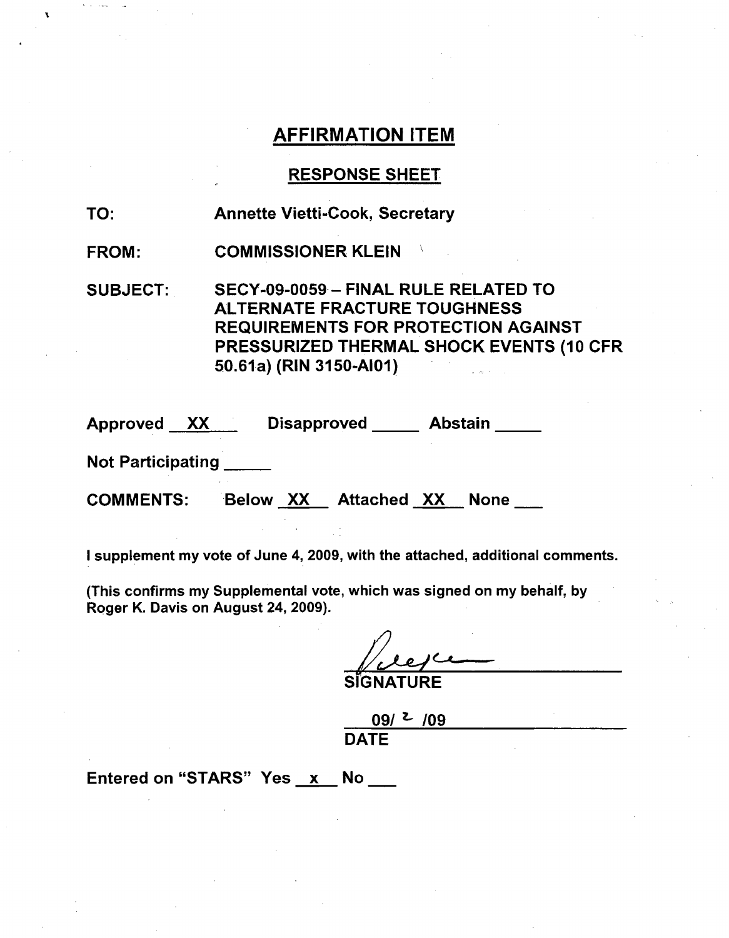# AFFIRMATION ITEM

### RESPONSE SHEET

TO: Annette Vietti-Cook, Secretary

FROM: COMMISSIONER KLEIN

SUBJECT: SECY-09-0059- FINAL RULE RELATED TO ALTERNATE FRACTURE TOUGHNESS REQUIREMENTS FOR PROTECTION AGAINST PRESSURIZED THERMAL SHOCK EVENTS (10 CFR 50.61 a) (RIN 3150-AI01)

| <b>Approved</b> | XХ | <b>Disapproved</b> | <b>Abstain</b> |
|-----------------|----|--------------------|----------------|
|                 |    |                    |                |

Not Participating

COMMENTS: Below XX Attached XX None

I supplement my vote of June 4, 2009, with the attached, additional comments.

(This confirms my Supplemental vote, which was signed on my behalf, by Roger K. Davis on August 24, 2009).

**SIGNATURE** 

09/ **z\_ /09** DATE

Entered on "STARS" Yes x No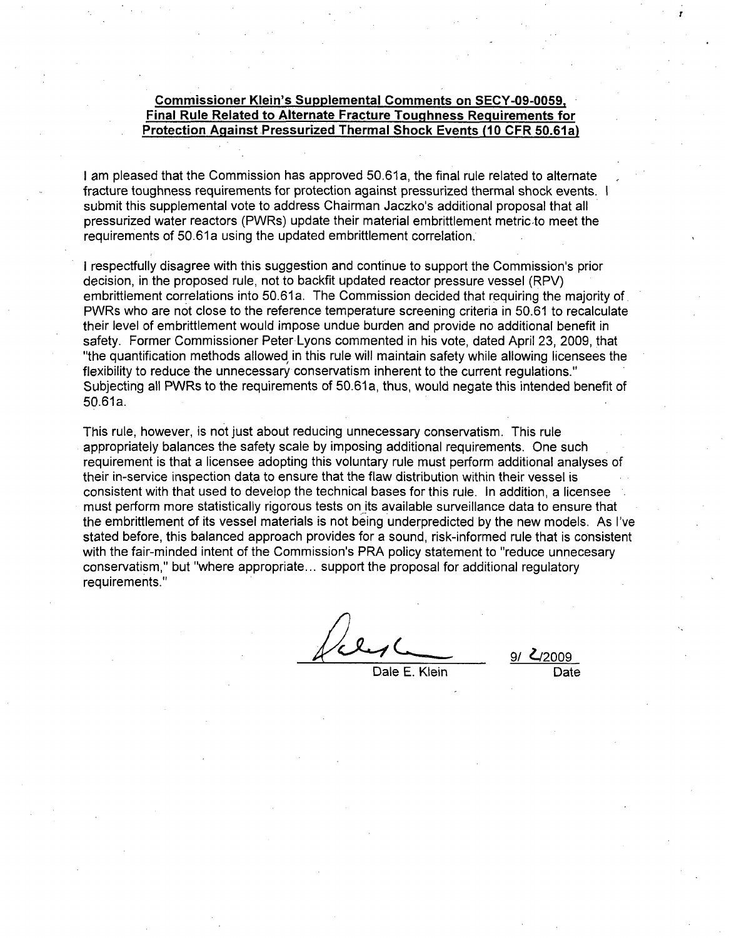#### Commissioner Klein's Supplemental Comments on **SECY-09-0059,** Final Rule Related to Alternate Fracture Toughness Requirements for Protection Against Pressurized Thermal Shock Events **(10** CFR 50.61a)

I am pleased that the Commission has approved 50.61a, the final rule related to alternate fracture toughness requirements for protection against pressurized thermal shock events. **I** submit this supplemental vote to address Chairman Jaczko's additional proposal that all pressurized water reactors (PWRs) update their material embrittlement metric.to meet the requirements of 50.61a using the updated embrittlement correlation.

I respectfully disagree with this suggestion and continue to support the Commission's prior decision, in the proposed rule, not to backfit updated reactor pressure vessel (RPV) embrittlement correlations into 50.61a. The Commission decided that requiring the majority of PWRs who are not close to the reference temperature screening criteria in 50.61 to recalculate their level of embrittlement would impose undue burden and provide no additional benefit in safety. Former Commissioner Peter Lyons commented in his vote, dated April 23, 2009, that "the quantification methods allowed in this rule will maintain safety while allowing licensees the flexibility to reduce the unnecessary conservatism inherent to the current regulations." Subjecting all PWRs to the requirements of 50.61a, thus, would negate this intended benefit of 50.61a.

This rule, however, is not just about reducing unnecessary conservatism. This rule appropriately balances the safety scale by imposing additional requirements. One such requirement is that a licensee adopting this voluntary rule must perform additional analyses of their in-service inspection data to ensure that the flaw distribution within their vessel is consistent with that used to develop the technical bases for this rule. In addition, a licensee must perform more statistically rigorous tests on its available surveillance data to ensure that the embrittlement of its vessel materials is not being underpredicted by the new models. As I've stated before, this balanced approach provides for a sound, risk-informed rule that is consistent with the fair-minded intent of the Commission's PRA policy statement to "reduce unnecesary conservatism," but "where appropriate.., support the proposal for additional regulatory requirements."

Dale E. Klein

 $\frac{\mathcal{L}_{\text{12009}}}{\text{Date}}$